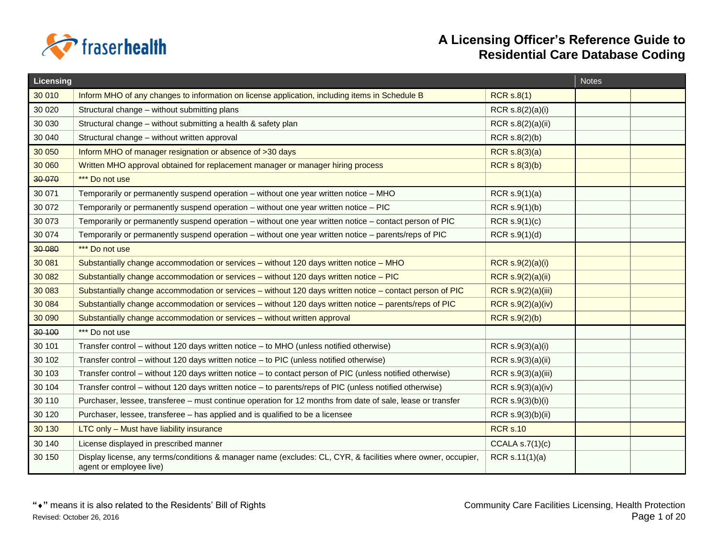

| Licensing |                                                                                                                                         |                    | <b>Notes</b> |
|-----------|-----------------------------------------------------------------------------------------------------------------------------------------|--------------------|--------------|
| 30 010    | Inform MHO of any changes to information on license application, including items in Schedule B                                          | <b>RCR s.8(1)</b>  |              |
| 30 0 20   | Structural change - without submitting plans                                                                                            | RCR s.8(2)(a)(i)   |              |
| 30 030    | Structural change - without submitting a health & safety plan                                                                           | RCR s.8(2)(a)(ii)  |              |
| 30 040    | Structural change - without written approval                                                                                            | RCR $s.8(2)(b)$    |              |
| 30 050    | Inform MHO of manager resignation or absence of >30 days                                                                                | RCR $s.8(3)(a)$    |              |
| 30 060    | Written MHO approval obtained for replacement manager or manager hiring process                                                         | RCR $s(3)(b)$      |              |
| 30 0 70   | *** Do not use                                                                                                                          |                    |              |
| 30 071    | Temporarily or permanently suspend operation - without one year written notice - MHO                                                    | RCR $s.9(1)(a)$    |              |
| 30 072    | Temporarily or permanently suspend operation – without one year written notice – PIC                                                    | RCR $s.9(1)(b)$    |              |
| 30 073    | Temporarily or permanently suspend operation - without one year written notice - contact person of PIC                                  | RCR S.9(1)(c)      |              |
| 30 074    | Temporarily or permanently suspend operation - without one year written notice - parents/reps of PIC                                    | RCR s.9(1)(d)      |              |
| 30 080    | *** Do not use                                                                                                                          |                    |              |
| 30 081    | Substantially change accommodation or services - without 120 days written notice - MHO                                                  | RCR s.9(2)(a)(i)   |              |
| 30 082    | Substantially change accommodation or services - without 120 days written notice - PIC                                                  | RCR s.9(2)(a)(ii)  |              |
| 30 083    | Substantially change accommodation or services - without 120 days written notice - contact person of PIC                                | RCR s.9(2)(a)(iii) |              |
| 30 084    | Substantially change accommodation or services - without 120 days written notice - parents/reps of PIC                                  | RCR s.9(2)(a)(iv)  |              |
| 30 090    | Substantially change accommodation or services - without written approval                                                               | RCR S.9(2)(b)      |              |
| 30 100    | *** Do not use                                                                                                                          |                    |              |
| 30 101    | Transfer control - without 120 days written notice - to MHO (unless notified otherwise)                                                 | RCR s.9(3)(a)(i)   |              |
| 30 102    | Transfer control - without 120 days written notice - to PIC (unless notified otherwise)                                                 | RCR s.9(3)(a)(ii)  |              |
| 30 103    | Transfer control – without 120 days written notice – to contact person of PIC (unless notified otherwise)                               | RCR s.9(3)(a)(iii) |              |
| 30 104    | Transfer control – without 120 days written notice – to parents/reps of PIC (unless notified otherwise)                                 | RCR s.9(3)(a)(iv)  |              |
| 30 110    | Purchaser, lessee, transferee - must continue operation for 12 months from date of sale, lease or transfer                              | RCR s.9(3)(b)(i)   |              |
| 30 120    | Purchaser, lessee, transferee - has applied and is qualified to be a licensee                                                           | RCR s.9(3)(b)(ii)  |              |
| 30 130    | LTC only - Must have liability insurance                                                                                                | <b>RCR s.10</b>    |              |
| 30 140    | License displayed in prescribed manner                                                                                                  | CCALA $s.7(1)(c)$  |              |
| 30 150    | Display license, any terms/conditions & manager name (excludes: CL, CYR, & facilities where owner, occupier,<br>agent or employee live) | RCR s.11(1)(a)     |              |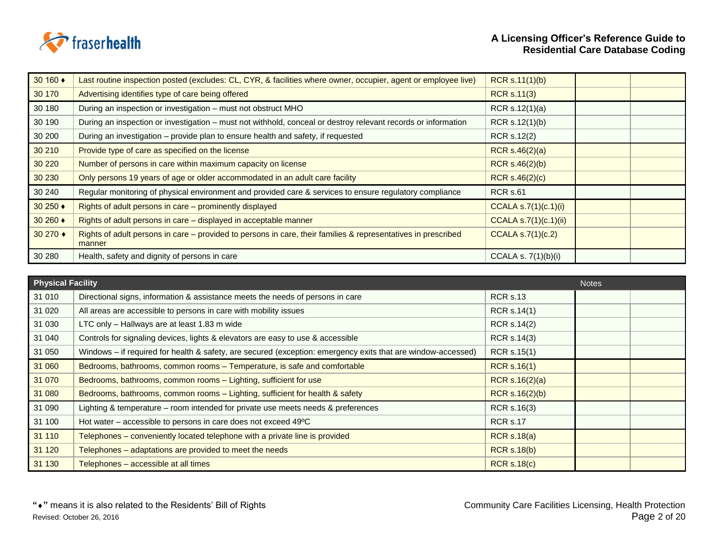

| 30 160 ♦ | Last routine inspection posted (excludes: CL, CYR, & facilities where owner, occupier, agent or employee live)          | RCR s.11(1)(b)          |  |
|----------|-------------------------------------------------------------------------------------------------------------------------|-------------------------|--|
| 30 170   | Advertising identifies type of care being offered                                                                       | <b>RCR s.11(3)</b>      |  |
| 30 180   | During an inspection or investigation - must not obstruct MHO                                                           | RCR s.12(1)(a)          |  |
| 30 190   | During an inspection or investigation - must not withhold, conceal or destroy relevant records or information           | RCR s.12(1)(b)          |  |
| 30 200   | During an investigation - provide plan to ensure health and safety, if requested                                        | <b>RCR s.12(2)</b>      |  |
| 30 210   | Provide type of care as specified on the license                                                                        | RCR $s.46(2)(a)$        |  |
| 30 220   | Number of persons in care within maximum capacity on license                                                            | <b>RCR s.46(2)(b)</b>   |  |
| 30 230   | Only persons 19 years of age or older accommodated in an adult care facility                                            | RCR s.46(2)(c)          |  |
| 30 240   | Regular monitoring of physical environment and provided care & services to ensure regulatory compliance                 | <b>RCR s.61</b>         |  |
| 30 250 ♦ | Rights of adult persons in care - prominently displayed                                                                 | CCALA s.7 $(1)(c.1)(i)$ |  |
| 30 260 ♦ | Rights of adult persons in care - displayed in acceptable manner                                                        | CCALA s.7(1)(c.1)(ii)   |  |
| 30 270 ♦ | Rights of adult persons in care – provided to persons in care, their families & representatives in prescribed<br>manner | CCALA S.7(1)(c.2)       |  |
| 30 280   | Health, safety and dignity of persons in care                                                                           | CCALA s. $7(1)(b)(i)$   |  |

| <b>Physical Facility</b> |                                                                                                              |                    | <b>Notes</b> |
|--------------------------|--------------------------------------------------------------------------------------------------------------|--------------------|--------------|
| 31 010                   | Directional signs, information & assistance meets the needs of persons in care                               | <b>RCR s.13</b>    |              |
| 31 0 20                  | All areas are accessible to persons in care with mobility issues                                             | <b>RCR s.14(1)</b> |              |
| 31 030                   | LTC only - Hallways are at least 1.83 m wide                                                                 | RCR s.14(2)        |              |
| 31 040                   | Controls for signaling devices, lights & elevators are easy to use & accessible                              | RCR s.14(3)        |              |
| 31 050                   | Windows - if required for health & safety, are secured (exception: emergency exits that are window-accessed) | RCR s.15(1)        |              |
| 31 060                   | Bedrooms, bathrooms, common rooms - Temperature, is safe and comfortable                                     | <b>RCR s.16(1)</b> |              |
| 31 070                   | Bedrooms, bathrooms, common rooms - Lighting, sufficient for use                                             | RCR $s.16(2)(a)$   |              |
| 31 080                   | Bedrooms, bathrooms, common rooms - Lighting, sufficient for health & safety                                 | RCR s.16(2)(b)     |              |
| 31 090                   | Lighting & temperature - room intended for private use meets needs & preferences                             | RCR s.16(3)        |              |
| 31 100                   | Hot water - accessible to persons in care does not exceed 49°C                                               | <b>RCR s.17</b>    |              |
| 31 110                   | Telephones - conveniently located telephone with a private line is provided                                  | <b>RCR s.18(a)</b> |              |
| 31 1 20                  | Telephones - adaptations are provided to meet the needs                                                      | <b>RCR s.18(b)</b> |              |
| 31 130                   | Telephones – accessible at all times                                                                         | <b>RCR s.18(c)</b> |              |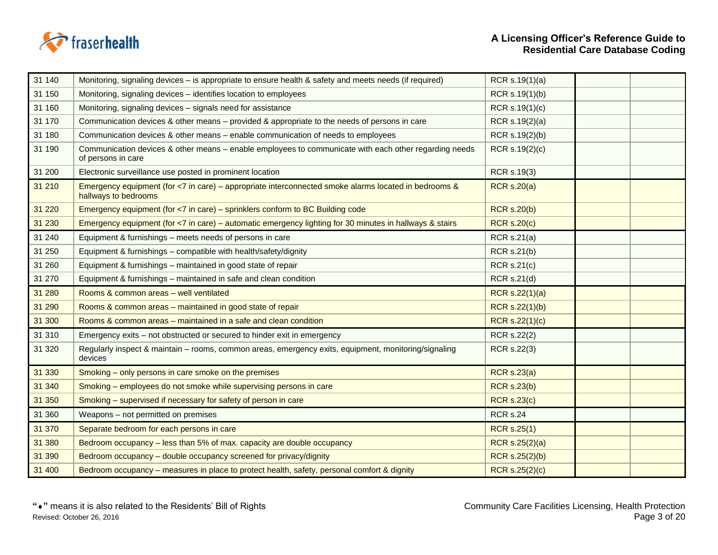

| 31 140  | Monitoring, signaling devices – is appropriate to ensure health & safety and meets needs (if required)                       | RCR s.19(1)(a)        |  |
|---------|------------------------------------------------------------------------------------------------------------------------------|-----------------------|--|
| 31 150  | Monitoring, signaling devices - identifies location to employees                                                             | RCR s.19(1)(b)        |  |
| 31 160  | Monitoring, signaling devices - signals need for assistance                                                                  | RCR s.19(1)(c)        |  |
| 31 170  | Communication devices & other means – provided & appropriate to the needs of persons in care                                 | RCR s.19(2)(a)        |  |
| 31 180  | Communication devices & other means - enable communication of needs to employees                                             | RCR s.19(2)(b)        |  |
| 31 190  | Communication devices & other means - enable employees to communicate with each other regarding needs<br>of persons in care  | RCR s.19(2)(c)        |  |
| 31 200  | Electronic surveillance use posted in prominent location                                                                     | RCR s.19(3)           |  |
| 31 210  | Emergency equipment (for <7 in care) - appropriate interconnected smoke alarms located in bedrooms &<br>hallways to bedrooms | <b>RCR s.20(a)</b>    |  |
| 31 2 20 | Emergency equipment (for <7 in care) - sprinklers conform to BC Building code                                                | <b>RCR s.20(b)</b>    |  |
| 31 230  | Emergency equipment (for <7 in care) – automatic emergency lighting for 30 minutes in hallways & stairs                      | <b>RCR s.20(c)</b>    |  |
| 31 240  | Equipment & furnishings – meets needs of persons in care                                                                     | <b>RCR s.21(a)</b>    |  |
| 31 250  | Equipment & furnishings - compatible with health/safety/dignity                                                              | <b>RCR s.21(b)</b>    |  |
| 31 260  | Equipment & furnishings - maintained in good state of repair                                                                 | <b>RCR s.21(c)</b>    |  |
| 31 270  | Equipment & furnishings - maintained in safe and clean condition                                                             | RCR s.21(d)           |  |
| 31 280  | Rooms & common areas - well ventilated                                                                                       | RCR s.22(1)(a)        |  |
| 31 290  | Rooms & common areas - maintained in good state of repair                                                                    | RCR s.22(1)(b)        |  |
| 31 300  | Rooms & common areas - maintained in a safe and clean condition                                                              | RCR s.22(1)(c)        |  |
| 31 310  | Emergency exits – not obstructed or secured to hinder exit in emergency                                                      | RCR s.22(2)           |  |
| 31 320  | Regularly inspect & maintain - rooms, common areas, emergency exits, equipment, monitoring/signaling<br>devices              | RCR s.22(3)           |  |
| 31 330  | Smoking – only persons in care smoke on the premises                                                                         | <b>RCR s.23(a)</b>    |  |
| 31 340  | Smoking - employees do not smoke while supervising persons in care                                                           | <b>RCR s.23(b)</b>    |  |
| 31 350  | Smoking - supervised if necessary for safety of person in care                                                               | <b>RCR s.23(c)</b>    |  |
| 31 360  | Weapons - not permitted on premises                                                                                          | <b>RCR s.24</b>       |  |
| 31 370  | Separate bedroom for each persons in care                                                                                    | <b>RCR s.25(1)</b>    |  |
| 31 380  | Bedroom occupancy - less than 5% of max. capacity are double occupancy                                                       | <b>RCR s.25(2)(a)</b> |  |
| 31 390  | Bedroom occupancy - double occupancy screened for privacy/dignity                                                            | RCR s.25(2)(b)        |  |
| 31 400  | Bedroom occupancy - measures in place to protect health, safety, personal comfort & dignity                                  | <b>RCR s.25(2)(c)</b> |  |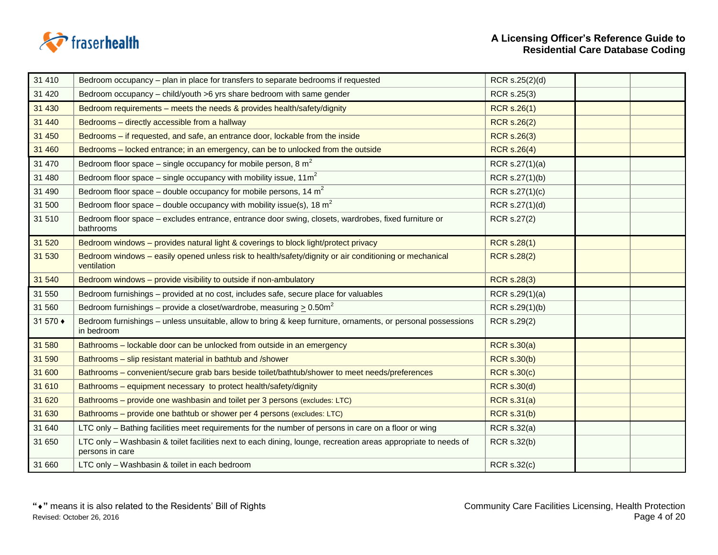

 $\overline{a}$ 

| 31 410   | Bedroom occupancy – plan in place for transfers to separate bedrooms if requested                                                 | RCR s.25(2)(d)     |  |
|----------|-----------------------------------------------------------------------------------------------------------------------------------|--------------------|--|
| 31 4 20  | Bedroom occupancy - child/youth >6 yrs share bedroom with same gender                                                             | RCR s.25(3)        |  |
| 31 430   | Bedroom requirements - meets the needs & provides health/safety/dignity                                                           | <b>RCR s.26(1)</b> |  |
| 31 440   | Bedrooms - directly accessible from a hallway                                                                                     | <b>RCR s.26(2)</b> |  |
| 31 450   | Bedrooms - if requested, and safe, an entrance door, lockable from the inside                                                     | <b>RCR s.26(3)</b> |  |
| 31 460   | Bedrooms – locked entrance; in an emergency, can be to unlocked from the outside                                                  | <b>RCR s.26(4)</b> |  |
| 31 470   | Bedroom floor space – single occupancy for mobile person, 8 $m2$                                                                  | RCR s.27(1)(a)     |  |
| 31 480   | Bedroom floor space – single occupancy with mobility issue, $11\text{m}^2$                                                        | RCR s.27(1)(b)     |  |
| 31 490   | Bedroom floor space – double occupancy for mobile persons, 14 $m2$                                                                | RCR s.27(1)(c)     |  |
| 31 500   | Bedroom floor space – double occupancy with mobility issue(s), 18 $m^2$                                                           | RCR s.27(1)(d)     |  |
| 31 510   | Bedroom floor space - excludes entrance, entrance door swing, closets, wardrobes, fixed furniture or<br>bathrooms                 | RCR s.27(2)        |  |
| 31 520   | Bedroom windows - provides natural light & coverings to block light/protect privacy                                               | <b>RCR s.28(1)</b> |  |
| 31 530   | Bedroom windows - easily opened unless risk to health/safety/dignity or air conditioning or mechanical<br>ventilation             | <b>RCR s.28(2)</b> |  |
| 31 540   | Bedroom windows - provide visibility to outside if non-ambulatory                                                                 | <b>RCR s.28(3)</b> |  |
| 31 550   | Bedroom furnishings – provided at no cost, includes safe, secure place for valuables                                              | RCR s.29(1)(a)     |  |
| 31 560   | Bedroom furnishings – provide a closet/wardrobe, measuring $\geq 0.50$ m <sup>2</sup>                                             | RCR s.29(1)(b)     |  |
| 31 570 ♦ | Bedroom furnishings - unless unsuitable, allow to bring & keep furniture, ornaments, or personal possessions<br>in bedroom        | RCR s.29(2)        |  |
| 31 580   | Bathrooms - lockable door can be unlocked from outside in an emergency                                                            | <b>RCR s.30(a)</b> |  |
| 31 590   | Bathrooms - slip resistant material in bathtub and /shower                                                                        | <b>RCR s.30(b)</b> |  |
| 31 600   | Bathrooms – convenient/secure grab bars beside toilet/bathtub/shower to meet needs/preferences                                    | <b>RCR s.30(c)</b> |  |
| 31 610   | Bathrooms - equipment necessary to protect health/safety/dignity                                                                  | <b>RCR s.30(d)</b> |  |
| 31 620   | Bathrooms - provide one washbasin and toilet per 3 persons (excludes: LTC)                                                        | <b>RCR s.31(a)</b> |  |
| 31 630   | Bathrooms - provide one bathtub or shower per 4 persons (excludes: LTC)                                                           | <b>RCR s.31(b)</b> |  |
| 31 640   | LTC only - Bathing facilities meet requirements for the number of persons in care on a floor or wing                              | <b>RCR s.32(a)</b> |  |
| 31 650   | LTC only - Washbasin & toilet facilities next to each dining, lounge, recreation areas appropriate to needs of<br>persons in care | RCR s.32(b)        |  |
| 31 660   | LTC only - Washbasin & toilet in each bedroom                                                                                     | <b>RCR s.32(c)</b> |  |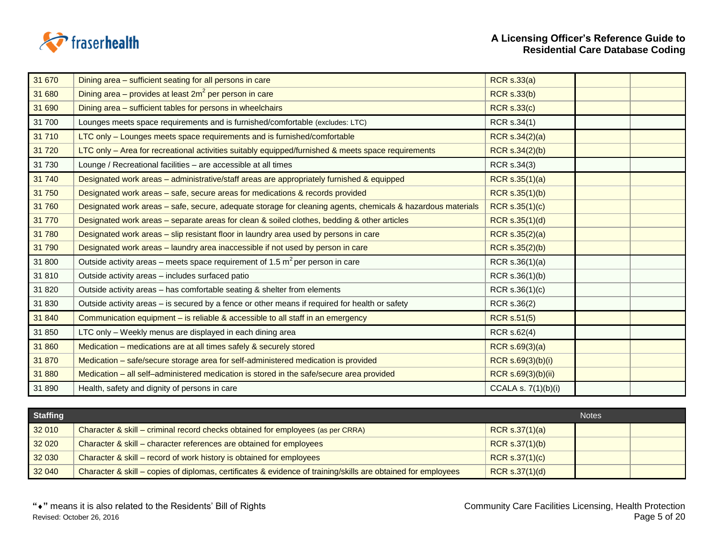

| 31 670 | Dining area - sufficient seating for all persons in care                                                    | <b>RCR s.33(a)</b>    |  |
|--------|-------------------------------------------------------------------------------------------------------------|-----------------------|--|
| 31 680 | Dining area – provides at least $2m^2$ per person in care                                                   | <b>RCR s.33(b)</b>    |  |
| 31 690 | Dining area - sufficient tables for persons in wheelchairs                                                  | <b>RCR s.33(c)</b>    |  |
| 31 700 | Lounges meets space requirements and is furnished/comfortable (excludes: LTC)                               | RCR s.34(1)           |  |
| 31 710 | LTC only - Lounges meets space requirements and is furnished/comfortable                                    | RCR s.34(2)(a)        |  |
| 31 720 | LTC only - Area for recreational activities suitably equipped/furnished & meets space requirements          | RCR s.34(2)(b)        |  |
| 31 730 | Lounge / Recreational facilities - are accessible at all times                                              | RCR s.34(3)           |  |
| 31 740 | Designated work areas - administrative/staff areas are appropriately furnished & equipped                   | RCR s.35(1)(a)        |  |
| 31 750 | Designated work areas - safe, secure areas for medications & records provided                               | <b>RCR s.35(1)(b)</b> |  |
| 31 760 | Designated work areas - safe, secure, adequate storage for cleaning agents, chemicals & hazardous materials | RCR s.35(1)(c)        |  |
| 31 770 | Designated work areas – separate areas for clean & soiled clothes, bedding & other articles                 | RCR s.35(1)(d)        |  |
| 31 780 | Designated work areas - slip resistant floor in laundry area used by persons in care                        | RCR s.35(2)(a)        |  |
| 31 790 | Designated work areas - laundry area inaccessible if not used by person in care                             | RCR s.35(2)(b)        |  |
| 31 800 | Outside activity areas – meets space requirement of 1.5 $m^2$ per person in care                            | RCR s.36(1)(a)        |  |
| 31 810 | Outside activity areas - includes surfaced patio                                                            | RCR s.36(1)(b)        |  |
| 31 820 | Outside activity areas – has comfortable seating & shelter from elements                                    | RCR s.36(1)(c)        |  |
| 31 830 | Outside activity areas - is secured by a fence or other means if required for health or safety              | RCR s.36(2)           |  |
| 31 840 | Communication equipment - is reliable & accessible to all staff in an emergency                             | <b>RCR s.51(5)</b>    |  |
| 31 850 | LTC only - Weekly menus are displayed in each dining area                                                   | RCR s.62(4)           |  |
| 31 860 | Medication - medications are at all times safely & securely stored                                          | RCR s.69(3)(a)        |  |
| 31 870 | Medication - safe/secure storage area for self-administered medication is provided                          | RCR s.69(3)(b)(i)     |  |
| 31 880 | Medication - all self-administered medication is stored in the safe/secure area provided                    | RCR s.69(3)(b)(ii)    |  |
| 31 890 | Health, safety and dignity of persons in care                                                               | CCALA s. 7(1)(b)(i)   |  |

| <b>Staffing</b> |                                                                                                               |                  | <b>Notes</b> |  |
|-----------------|---------------------------------------------------------------------------------------------------------------|------------------|--------------|--|
| 32 010          | Character & skill – criminal record checks obtained for employees (as per CRRA)                               | RCR $s.37(1)(a)$ |              |  |
| 32 0 20         | Character & skill – character references are obtained for employees                                           | RCR s.37(1)(b)   |              |  |
| 32 030          | Character & skill – record of work history is obtained for employees                                          | RCR S.37(1)(c)   |              |  |
| 32 040          | Character & skill – copies of diplomas, certificates & evidence of training/skills are obtained for employees | RCR s.37(1)(d)   |              |  |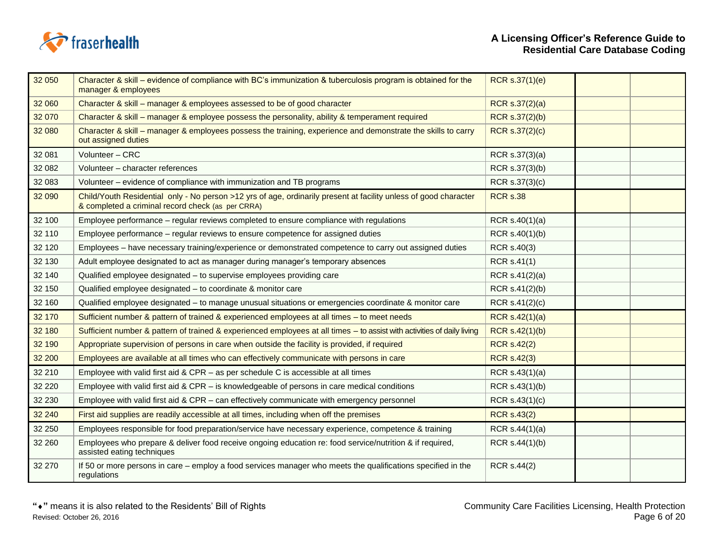

| 32 050   | Character & skill – evidence of compliance with BC's immunization & tuberculosis program is obtained for the<br>manager & employees                                   | RCR s.37(1)(e)     |  |
|----------|-----------------------------------------------------------------------------------------------------------------------------------------------------------------------|--------------------|--|
| 32 060   | Character & skill - manager & employees assessed to be of good character                                                                                              | RCR s.37(2)(a)     |  |
| 32 070   | Character & skill – manager & employee possess the personality, ability & temperament required                                                                        | RCR s.37(2)(b)     |  |
| 32 080   | Character & skill – manager & employees possess the training, experience and demonstrate the skills to carry<br>out assigned duties                                   | RCR s.37(2)(c)     |  |
| 32 081   | Volunteer - CRC                                                                                                                                                       | RCR s.37(3)(a)     |  |
| 32 082   | Volunteer - character references                                                                                                                                      | RCR s.37(3)(b)     |  |
| 32 083   | Volunteer - evidence of compliance with immunization and TB programs                                                                                                  | RCR s.37(3)(c)     |  |
| 32 090   | Child/Youth Residential only - No person >12 yrs of age, ordinarily present at facility unless of good character<br>& completed a criminal record check (as per CRRA) | <b>RCR s.38</b>    |  |
| 32 100   | Employee performance – regular reviews completed to ensure compliance with regulations                                                                                | RCR $s.40(1)(a)$   |  |
| 32 110   | Employee performance – regular reviews to ensure competence for assigned duties                                                                                       | RCR s.40(1)(b)     |  |
| 32 120   | Employees – have necessary training/experience or demonstrated competence to carry out assigned duties                                                                | RCR s.40(3)        |  |
| 32 130   | Adult employee designated to act as manager during manager's temporary absences                                                                                       | RCR s.41(1)        |  |
| 32 140   | Qualified employee designated - to supervise employees providing care                                                                                                 | RCR $s.41(2)(a)$   |  |
| 32 150   | Qualified employee designated - to coordinate & monitor care                                                                                                          | RCR s.41(2)(b)     |  |
| 32 160   | Qualified employee designated - to manage unusual situations or emergencies coordinate & monitor care                                                                 | RCR s.41(2)(c)     |  |
| 32 170   | Sufficient number & pattern of trained & experienced employees at all times - to meet needs                                                                           | RCR s.42(1)(a)     |  |
| 32 180   | Sufficient number & pattern of trained & experienced employees at all times - to assist with activities of daily living                                               | RCR s.42(1)(b)     |  |
| 32 190   | Appropriate supervision of persons in care when outside the facility is provided, if required                                                                         | <b>RCR s.42(2)</b> |  |
| 32 200   | Employees are available at all times who can effectively communicate with persons in care                                                                             | <b>RCR s.42(3)</b> |  |
| 32 210   | Employee with valid first aid & CPR $-$ as per schedule C is accessible at all times                                                                                  | RCR s.43(1)(a)     |  |
| 32 2 2 0 | Employee with valid first aid & CPR – is knowledgeable of persons in care medical conditions                                                                          | RCR s.43(1)(b)     |  |
| 32 230   | Employee with valid first aid & CPR - can effectively communicate with emergency personnel                                                                            | RCR s.43(1)(c)     |  |
| 32 240   | First aid supplies are readily accessible at all times, including when off the premises                                                                               | <b>RCR s.43(2)</b> |  |
| 32 250   | Employees responsible for food preparation/service have necessary experience, competence & training                                                                   | RCR s.44(1)(a)     |  |
| 32 260   | Employees who prepare & deliver food receive ongoing education re: food service/nutrition & if required,<br>assisted eating techniques                                | RCR s.44(1)(b)     |  |
| 32 270   | If 50 or more persons in care – employ a food services manager who meets the qualifications specified in the<br>regulations                                           | RCR s.44(2)        |  |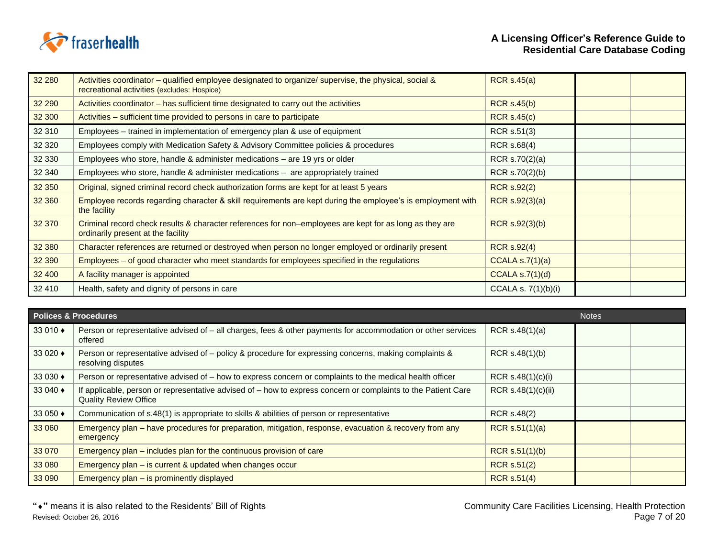

| 32 280 | Activities coordinator - qualified employee designated to organize/ supervise, the physical, social &<br>recreational activities (excludes: Hospice) | RCR s.45(a)           |  |
|--------|------------------------------------------------------------------------------------------------------------------------------------------------------|-----------------------|--|
| 32 290 | Activities coordinator – has sufficient time designated to carry out the activities                                                                  | <b>RCR s.45(b)</b>    |  |
| 32 300 | Activities – sufficient time provided to persons in care to participate                                                                              | RCR S.45(c)           |  |
| 32 310 | Employees - trained in implementation of emergency plan & use of equipment                                                                           | RCR s.51(3)           |  |
| 32 320 | Employees comply with Medication Safety & Advisory Committee policies & procedures                                                                   | RCR s.68(4)           |  |
| 32 330 | Employees who store, handle & administer medications - are 19 yrs or older                                                                           | RCR $s.70(2)(a)$      |  |
| 32 340 | Employees who store, handle & administer medications - are appropriately trained                                                                     | RCR s.70(2)(b)        |  |
| 32 350 | Original, signed criminal record check authorization forms are kept for at least 5 years                                                             | <b>RCR s.92(2)</b>    |  |
| 32 360 | Employee records regarding character & skill requirements are kept during the employee's is employment with<br>the facility                          | RCR $s.92(3)(a)$      |  |
| 32 370 | Criminal record check results & character references for non-employees are kept for as long as they are<br>ordinarily present at the facility        | RCR S.92(3)(b)        |  |
| 32 380 | Character references are returned or destroyed when person no longer employed or ordinarily present                                                  | <b>RCR s.92(4)</b>    |  |
| 32 390 | Employees – of good character who meet standards for employees specified in the regulations                                                          | CCALA $s.7(1)(a)$     |  |
| 32 400 | A facility manager is appointed                                                                                                                      | CCALA S.7(1)(d)       |  |
| 32 410 | Health, safety and dignity of persons in care                                                                                                        | CCALA s. $7(1)(b)(i)$ |  |

|                | <b>Polices &amp; Procedures</b><br><b>Notes</b>                                                                                               |                    |  |  |
|----------------|-----------------------------------------------------------------------------------------------------------------------------------------------|--------------------|--|--|
| 33 010 ♦       | Person or representative advised of - all charges, fees & other payments for accommodation or other services<br>offered                       | RCR $s.48(1)(a)$   |  |  |
| 33 0 $20 \div$ | Person or representative advised of – policy & procedure for expressing concerns, making complaints &<br>resolving disputes                   | RCR $s.48(1)(b)$   |  |  |
| 33 030 ♦       | Person or representative advised of - how to express concern or complaints to the medical health officer                                      | RCR S.48(1)(c)(i)  |  |  |
| 33 040 ♦       | If applicable, person or representative advised of - how to express concern or complaints to the Patient Care<br><b>Quality Review Office</b> | RCR s.48(1)(c)(ii) |  |  |
| 33 050 ♦       | Communication of s.48(1) is appropriate to skills & abilities of person or representative                                                     | RCR s.48(2)        |  |  |
| 33 060         | Emergency plan – have procedures for preparation, mitigation, response, evacuation & recovery from any<br>emergency                           | RCR $s.51(1)(a)$   |  |  |
| 33 070         | Emergency plan – includes plan for the continuous provision of care                                                                           | RCR $s.51(1)(b)$   |  |  |
| 33 080         | Emergency plan – is current & updated when changes occur                                                                                      | <b>RCR s.51(2)</b> |  |  |
| 33 090         | Emergency plan - is prominently displayed                                                                                                     | <b>RCR s.51(4)</b> |  |  |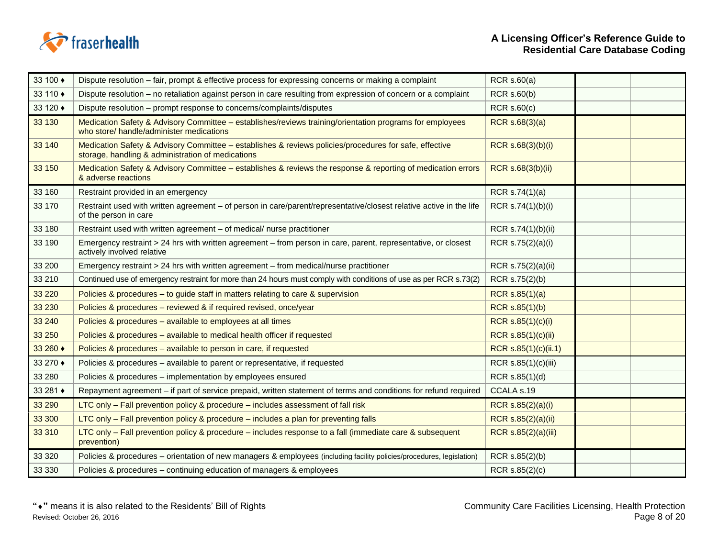

| 33 100 ♦ | Dispute resolution – fair, prompt & effective process for expressing concerns or making a complaint                                                         | RCR s.60(a)           |  |
|----------|-------------------------------------------------------------------------------------------------------------------------------------------------------------|-----------------------|--|
| 33 110 ♦ | Dispute resolution - no retaliation against person in care resulting from expression of concern or a complaint                                              | <b>RCR s.60(b)</b>    |  |
| 33 120 ♦ | Dispute resolution – prompt response to concerns/complaints/disputes                                                                                        | $RCR$ s.60 $(c)$      |  |
| 33 130   | Medication Safety & Advisory Committee - establishes/reviews training/orientation programs for employees<br>who store/ handle/administer medications        | RCR s.68(3)(a)        |  |
| 33 140   | Medication Safety & Advisory Committee - establishes & reviews policies/procedures for safe, effective<br>storage, handling & administration of medications | RCR s.68(3)(b)(i)     |  |
| 33 150   | Medication Safety & Advisory Committee - establishes & reviews the response & reporting of medication errors<br>& adverse reactions                         | RCR s.68(3(b)(ii)     |  |
| 33 160   | Restraint provided in an emergency                                                                                                                          | RCR s.74(1)(a)        |  |
| 33 170   | Restraint used with written agreement - of person in care/parent/representative/closest relative active in the life<br>of the person in care                | RCR s.74(1)(b)(i)     |  |
| 33 180   | Restraint used with written agreement - of medical/ nurse practitioner                                                                                      | RCR s.74(1)(b)(ii)    |  |
| 33 190   | Emergency restraint > 24 hrs with written agreement – from person in care, parent, representative, or closest<br>actively involved relative                 | RCR s.75(2)(a)(i)     |  |
| 33 200   | Emergency restraint > 24 hrs with written agreement - from medical/nurse practitioner                                                                       | RCR s.75(2)(a)(ii)    |  |
| 33 210   | Continued use of emergency restraint for more than 24 hours must comply with conditions of use as per RCR s.73(2)                                           | RCR s.75(2)(b)        |  |
|          |                                                                                                                                                             |                       |  |
| 33 2 20  | Policies & procedures - to guide staff in matters relating to care & supervision                                                                            | RCR $s.85(1)(a)$      |  |
| 33 230   | Policies & procedures - reviewed & if required revised, once/year                                                                                           | <b>RCR s.85(1)(b)</b> |  |
| 33 240   | Policies & procedures - available to employees at all times                                                                                                 | RCR s.85(1)(c)(i)     |  |
| 33 250   | Policies & procedures – available to medical health officer if requested                                                                                    | RCR s.85(1)(c)(ii)    |  |
| 33 260 ♦ | Policies & procedures - available to person in care, if requested                                                                                           | RCR s.85(1)(c)(ii.1)  |  |
| 33 270 ♦ | Policies & procedures - available to parent or representative, if requested                                                                                 | RCR s.85(1)(c)(iii)   |  |
| 33 280   | Policies & procedures - implementation by employees ensured                                                                                                 | RCR s.85(1)(d)        |  |
| 33 281 ♦ | Repayment agreement – if part of service prepaid, written statement of terms and conditions for refund required                                             | CCALA s.19            |  |
| 33 290   | LTC only - Fall prevention policy & procedure - includes assessment of fall risk                                                                            | RCR s.85(2)(a)(i)     |  |
| 33 300   | LTC only – Fall prevention policy & procedure – includes a plan for preventing falls                                                                        | RCR s.85(2)(a)(ii)    |  |
| 33 310   | LTC only - Fall prevention policy & procedure - includes response to a fall (immediate care & subsequent<br>prevention)                                     | RCR s.85(2)(a)(iii)   |  |
| 33 3 20  | Policies & procedures – orientation of new managers & employees (including facility policies/procedures, legislation)                                       | RCR s.85(2)(b)        |  |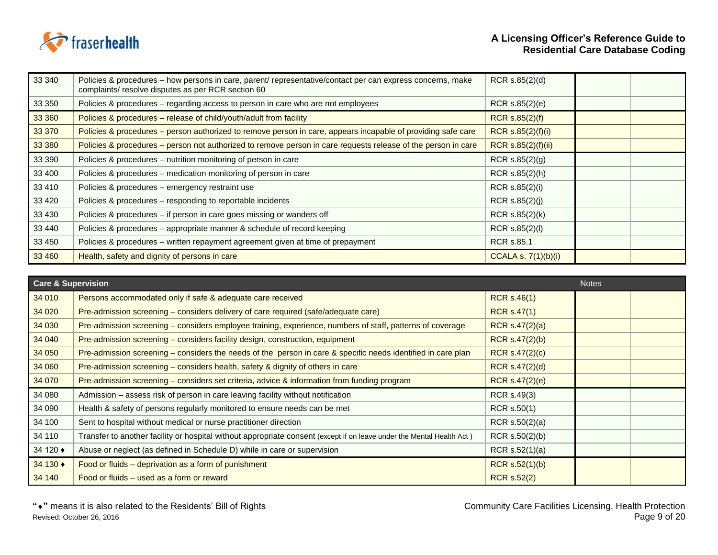

| 33 340  | Policies & procedures – how persons in care, parent/ representative/contact per can express concerns, make<br>complaints/ resolve disputes as per RCR section 60 | RCR s.85(2)(d)             |  |
|---------|------------------------------------------------------------------------------------------------------------------------------------------------------------------|----------------------------|--|
| 33 350  | Policies & procedures – regarding access to person in care who are not employees                                                                                 | RCR s.85(2)(e)             |  |
| 33 360  | Policies & procedures - release of child/youth/adult from facility                                                                                               | RCR s.85(2)(f)             |  |
| 33 370  | Policies & procedures – person authorized to remove person in care, appears incapable of providing safe care                                                     | RCR s.85(2)(f)(i)          |  |
| 33 380  | Policies & procedures – person not authorized to remove person in care requests release of the person in care                                                    | RCR s.85(2)(f)(ii)         |  |
| 33 390  | Policies & procedures - nutrition monitoring of person in care                                                                                                   | RCR $s.85(2)(g)$           |  |
| 33 400  | Policies & procedures - medication monitoring of person in care                                                                                                  | RCR s.85(2)(h)             |  |
| 33 410  | Policies & procedures - emergency restraint use                                                                                                                  | RCR s.85(2)(i)             |  |
| 33 4 20 | Policies & procedures - responding to reportable incidents                                                                                                       | RCR s.85(2)(j)             |  |
| 33 430  | Policies & procedures - if person in care goes missing or wanders off                                                                                            | RCR s.85(2)(k)             |  |
| 33 440  | Policies & procedures - appropriate manner & schedule of record keeping                                                                                          | RCR s.85(2)(l)             |  |
| 33 450  | Policies & procedures – written repayment agreement given at time of prepayment                                                                                  | <b>RCR s.85.1</b>          |  |
| 33 460  | Health, safety and dignity of persons in care                                                                                                                    | <b>CCALA s. 7(1)(b)(i)</b> |  |

|          | Care & Supervision                                                                                                    |                    |  |
|----------|-----------------------------------------------------------------------------------------------------------------------|--------------------|--|
| 34 010   | Persons accommodated only if safe & adequate care received                                                            | <b>RCR s.46(1)</b> |  |
| 34 0 20  | Pre-admission screening - considers delivery of care required (safe/adequate care)                                    | <b>RCR s.47(1)</b> |  |
| 34 030   | Pre-admission screening - considers employee training, experience, numbers of staff, patterns of coverage             | RCR $s.47(2)(a)$   |  |
| 34 040   | Pre-admission screening - considers facility design, construction, equipment                                          | RCR $s.47(2)(b)$   |  |
| 34 050   | Pre-admission screening – considers the needs of the person in care & specific needs identified in care plan          | RCR s.47(2)(c)     |  |
| 34 060   | Pre-admission screening – considers health, safety & dignity of others in care                                        | RCR s.47(2)(d)     |  |
| 34 070   | Pre-admission screening – considers set criteria, advice & information from funding program                           | RCR s.47(2)(e)     |  |
| 34 080   | Admission - assess risk of person in care leaving facility without notification                                       | RCR s.49(3)        |  |
| 34 090   | Health & safety of persons regularly monitored to ensure needs can be met                                             | RCR s.50(1)        |  |
| 34 100   | Sent to hospital without medical or nurse practitioner direction                                                      | RCR $s.50(2)(a)$   |  |
| 34 110   | Transfer to another facility or hospital without appropriate consent (except if on leave under the Mental Health Act) | RCR $s.50(2)(b)$   |  |
| 34 120 ♦ | Abuse or neglect (as defined in Schedule D) while in care or supervision                                              | RCR $s.52(1)(a)$   |  |
| 34 130 ♦ | Food or fluids – deprivation as a form of punishment                                                                  | RCR s.52(1)(b)     |  |
| 34 140   | Food or fluids – used as a form or reward                                                                             | <b>RCR s.52(2)</b> |  |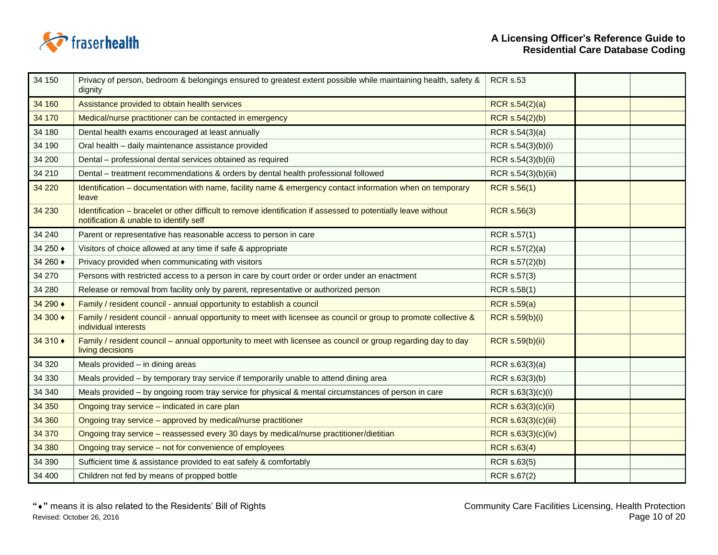

| 34 150   | Privacy of person, bedroom & belongings ensured to greatest extent possible while maintaining health, safety &<br>dignity                                | <b>RCR s.53</b>        |  |
|----------|----------------------------------------------------------------------------------------------------------------------------------------------------------|------------------------|--|
| 34 160   | Assistance provided to obtain health services                                                                                                            | RCR s.54(2)(a)         |  |
| 34 170   | Medical/nurse practitioner can be contacted in emergency                                                                                                 | <b>RCR s.54(2)(b)</b>  |  |
| 34 180   | Dental health exams encouraged at least annually                                                                                                         | RCR s.54(3)(a)         |  |
| 34 190   | Oral health - daily maintenance assistance provided                                                                                                      | RCR s.54(3)(b)(i)      |  |
| 34 200   | Dental - professional dental services obtained as required                                                                                               | RCR s.54(3)(b)(ii)     |  |
| 34 210   | Dental – treatment recommendations & orders by dental health professional followed                                                                       | RCR s.54(3)(b)(iii)    |  |
| 34 2 20  | Identification - documentation with name, facility name & emergency contact information when on temporary<br>leave                                       | <b>RCR s.56(1)</b>     |  |
| 34 230   | Identification - bracelet or other difficult to remove identification if assessed to potentially leave without<br>notification & unable to identify self | <b>RCR s.56(3)</b>     |  |
| 34 240   | Parent or representative has reasonable access to person in care                                                                                         | RCR s.57(1)            |  |
| 34 250 ♦ | Visitors of choice allowed at any time if safe & appropriate                                                                                             | RCR s.57(2)(a)         |  |
| 34 260 ♦ | Privacy provided when communicating with visitors                                                                                                        | RCR s.57(2)(b)         |  |
| 34 270   | Persons with restricted access to a person in care by court order or order under an enactment                                                            | RCR s.57(3)            |  |
| 34 280   | Release or removal from facility only by parent, representative or authorized person                                                                     | RCR s.58(1)            |  |
| 34 290 ♦ | Family / resident council - annual opportunity to establish a council                                                                                    | <b>RCR s.59(a)</b>     |  |
| 34 300 ♦ | Family / resident council - annual opportunity to meet with licensee as council or group to promote collective &<br>individual interests                 | <b>RCR s.59(b)(i)</b>  |  |
| 34 310 ♦ | Family / resident council – annual opportunity to meet with licensee as council or group regarding day to day<br>living decisions                        | <b>RCR s.59(b)(ii)</b> |  |
| 34 320   | Meals provided - in dining areas                                                                                                                         | RCR s.63(3)(a)         |  |
| 34 330   | Meals provided - by temporary tray service if temporarily unable to attend dining area                                                                   | RCR s.63(3)(b)         |  |
| 34 340   | Meals provided - by ongoing room tray service for physical & mental circumstances of person in care                                                      | RCR s.63(3)(c)(i)      |  |
| 34 350   | Ongoing tray service - indicated in care plan                                                                                                            | RCR s.63(3)(c)(ii)     |  |
| 34 360   | Ongoing tray service - approved by medical/nurse practitioner                                                                                            | RCR s.63(3)(c)(iii)    |  |
| 34 370   | Ongoing tray service - reassessed every 30 days by medical/nurse practitioner/dietitian                                                                  | RCR s.63(3)(c)(iv)     |  |
| 34 380   | Ongoing tray service - not for convenience of employees                                                                                                  | <b>RCR s.63(4)</b>     |  |
| 34 390   | Sufficient time & assistance provided to eat safely & comfortably                                                                                        | RCR s.63(5)            |  |
| 34 400   | Children not fed by means of propped bottle                                                                                                              | RCR s.67(2)            |  |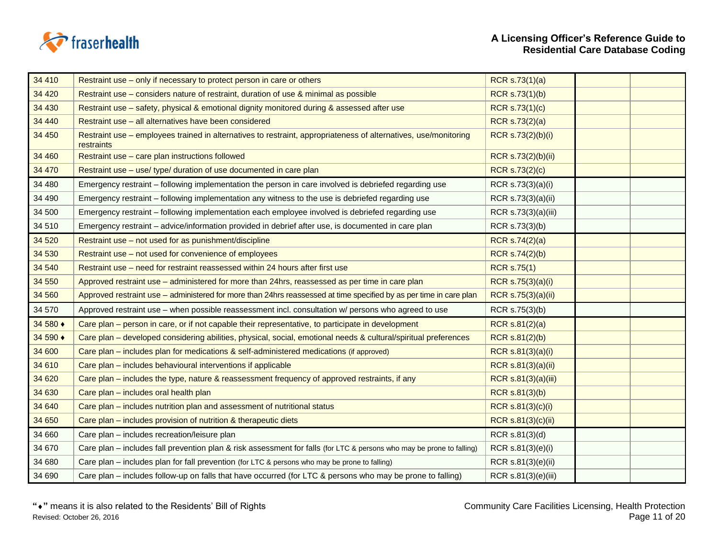

 $\overline{\phantom{a}}$ 

| 34 410   | Restraint use – only if necessary to protect person in care or others                                                         | <b>RCR s.73(1)(a)</b> |  |
|----------|-------------------------------------------------------------------------------------------------------------------------------|-----------------------|--|
| 34 4 20  | Restraint use – considers nature of restraint, duration of use & minimal as possible                                          | RCR s.73(1)(b)        |  |
| 34 430   | Restraint use - safety, physical & emotional dignity monitored during & assessed after use                                    | RCR s.73(1)(c)        |  |
| 34 440   | Restraint use - all alternatives have been considered                                                                         | RCR s.73(2)(a)        |  |
| 34 450   | Restraint use - employees trained in alternatives to restraint, appropriateness of alternatives, use/monitoring<br>restraints | RCR s.73(2)(b)(i)     |  |
| 34 460   | Restraint use - care plan instructions followed                                                                               | RCR s.73(2)(b)(ii)    |  |
| 34 470   | Restraint use - use/ type/ duration of use documented in care plan                                                            | RCR s.73(2)(c)        |  |
| 34 480   | Emergency restraint – following implementation the person in care involved is debriefed regarding use                         | RCR s.73(3)(a)(i)     |  |
| 34 490   | Emergency restraint – following implementation any witness to the use is debriefed regarding use                              | RCR s.73(3)(a)(ii)    |  |
| 34 500   | Emergency restraint – following implementation each employee involved is debriefed regarding use                              | RCR s.73(3)(a)(iii)   |  |
| 34 510   | Emergency restraint - advice/information provided in debrief after use, is documented in care plan                            | RCR s.73(3)(b)        |  |
| 34 5 20  | Restraint use - not used for as punishment/discipline                                                                         | <b>RCR s.74(2)(a)</b> |  |
| 34 530   | Restraint use - not used for convenience of employees                                                                         | RCR s.74(2)(b)        |  |
| 34 540   | Restraint use – need for restraint reassessed within 24 hours after first use                                                 | <b>RCR s.75(1)</b>    |  |
| 34 550   | Approved restraint use - administered for more than 24hrs, reassessed as per time in care plan                                | RCR s.75(3)(a)(i)     |  |
| 34 560   | Approved restraint use - administered for more than 24hrs reassessed at time specified by as per time in care plan            | RCR s.75(3)(a)(ii)    |  |
| 34 570   | Approved restraint use - when possible reassessment incl. consultation w/ persons who agreed to use                           | RCR s.75(3)(b)        |  |
| 34 580 ♦ | Care plan – person in care, or if not capable their representative, to participate in development                             | RCR s.81(2)(a)        |  |
| 34 590 ♦ | Care plan – developed considering abilities, physical, social, emotional needs & cultural/spiritual preferences               | RCR s.81(2)(b)        |  |
| 34 600   | Care plan – includes plan for medications & self-administered medications (if approved)                                       | RCR s.81(3)(a)(i)     |  |
| 34 610   | Care plan - includes behavioural interventions if applicable                                                                  | RCR s.81(3)(a)(ii)    |  |
| 34 620   | Care plan – includes the type, nature & reassessment frequency of approved restraints, if any                                 | RCR s.81(3)(a)(iii)   |  |
| 34 630   | Care plan - includes oral health plan                                                                                         | RCR s.81(3)(b)        |  |
| 34 640   | Care plan - includes nutrition plan and assessment of nutritional status                                                      | RCR s.81(3)(c)(i)     |  |
| 34 650   | Care plan – includes provision of nutrition & therapeutic diets                                                               | RCR s.81(3)(c)(ii)    |  |
| 34 660   | Care plan - includes recreation/leisure plan                                                                                  | RCR s.81(3)(d)        |  |
| 34 670   | Care plan – includes fall prevention plan & risk assessment for falls (for LTC & persons who may be prone to falling)         | RCR s.81(3)(e)(i)     |  |
| 34 680   | Care plan – includes plan for fall prevention (for LTC & persons who may be prone to falling)                                 | RCR s.81(3)(e)(ii)    |  |
| 34 690   | Care plan – includes follow-up on falls that have occurred (for LTC & persons who may be prone to falling)                    | RCR s.81(3)(e)(iii)   |  |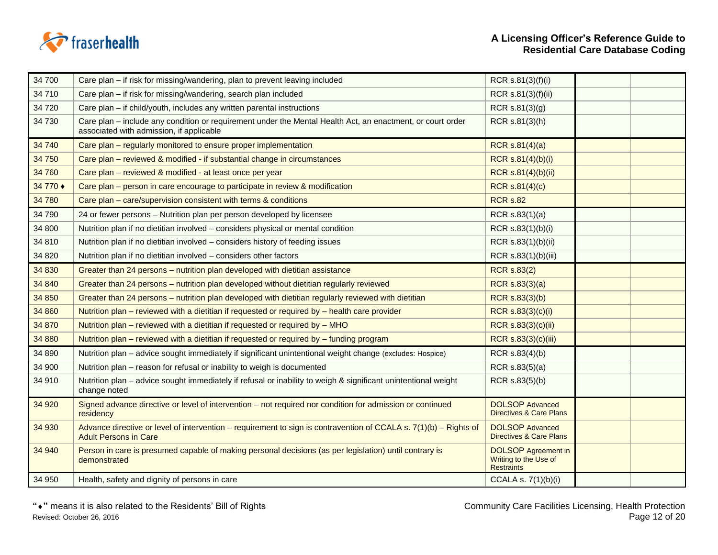

| 34 700   | Care plan – if risk for missing/wandering, plan to prevent leaving included                                                                            | RCR s.81(3)(f)(i)                                                        |  |
|----------|--------------------------------------------------------------------------------------------------------------------------------------------------------|--------------------------------------------------------------------------|--|
| 34 710   | Care plan - if risk for missing/wandering, search plan included                                                                                        | RCR s.81(3)(f)(ii)                                                       |  |
| 34 720   | Care plan - if child/youth, includes any written parental instructions                                                                                 | RCR s.81(3)(g)                                                           |  |
| 34 730   | Care plan – include any condition or requirement under the Mental Health Act, an enactment, or court order<br>associated with admission, if applicable | RCR s.81(3)(h)                                                           |  |
| 34 740   | Care plan – regularly monitored to ensure proper implementation                                                                                        | RCR $s.81(4)(a)$                                                         |  |
| 34 750   | Care plan – reviewed & modified - if substantial change in circumstances                                                                               | RCR s.81(4)(b)(i)                                                        |  |
| 34 760   | Care plan - reviewed & modified - at least once per year                                                                                               | RCR s.81(4)(b)(ii)                                                       |  |
| 34 770 ♦ | Care plan – person in care encourage to participate in review & modification                                                                           | RCR s.81(4)(c)                                                           |  |
| 34 780   | Care plan - care/supervision consistent with terms & conditions                                                                                        | <b>RCR s.82</b>                                                          |  |
| 34 790   | 24 or fewer persons - Nutrition plan per person developed by licensee                                                                                  | RCR $s.83(1)(a)$                                                         |  |
| 34 800   | Nutrition plan if no dietitian involved - considers physical or mental condition                                                                       | RCR s.83(1)(b)(i)                                                        |  |
| 34 810   | Nutrition plan if no dietitian involved - considers history of feeding issues                                                                          | RCR s.83(1)(b)(ii)                                                       |  |
| 34 8 20  | Nutrition plan if no dietitian involved - considers other factors                                                                                      | RCR s.83(1)(b)(iii)                                                      |  |
| 34 830   | Greater than 24 persons - nutrition plan developed with dietitian assistance                                                                           | <b>RCR s.83(2)</b>                                                       |  |
| 34 840   | Greater than 24 persons – nutrition plan developed without dietitian regularly reviewed                                                                | RCR s.83(3)(a)                                                           |  |
| 34 850   | Greater than 24 persons - nutrition plan developed with dietitian regularly reviewed with dietitian                                                    | RCR s.83(3)(b)                                                           |  |
| 34 860   | Nutrition plan - reviewed with a dietitian if requested or required by - health care provider                                                          | RCR s.83(3)(c)(i)                                                        |  |
| 34 870   | Nutrition plan – reviewed with a dietitian if requested or required by – MHO                                                                           | RCR s.83(3)(c)(ii)                                                       |  |
| 34 880   | Nutrition plan – reviewed with a dietitian if requested or required by – funding program                                                               | RCR s.83(3)(c)(iii)                                                      |  |
| 34 890   | Nutrition plan - advice sought immediately if significant unintentional weight change (excludes: Hospice)                                              | RCR s.83(4)(b)                                                           |  |
| 34 900   | Nutrition plan - reason for refusal or inability to weigh is documented                                                                                | RCR s.83(5)(a)                                                           |  |
| 34 910   | Nutrition plan - advice sought immediately if refusal or inability to weigh & significant unintentional weight<br>change noted                         | RCR s.83(5)(b)                                                           |  |
| 34 920   | Signed advance directive or level of intervention - not required nor condition for admission or continued<br>residency                                 | <b>DOLSOP Advanced</b><br><b>Directives &amp; Care Plans</b>             |  |
| 34 930   | Advance directive or level of intervention – requirement to sign is contravention of CCALA s. 7(1)(b) – Rights of<br><b>Adult Persons in Care</b>      | <b>DOLSOP Advanced</b><br><b>Directives &amp; Care Plans</b>             |  |
| 34 940   | Person in care is presumed capable of making personal decisions (as per legislation) until contrary is<br>demonstrated                                 | <b>DOLSOP</b> Agreement in<br>Writing to the Use of<br><b>Restraints</b> |  |
| 34 950   | Health, safety and dignity of persons in care                                                                                                          | CCALA s. 7(1)(b)(i)                                                      |  |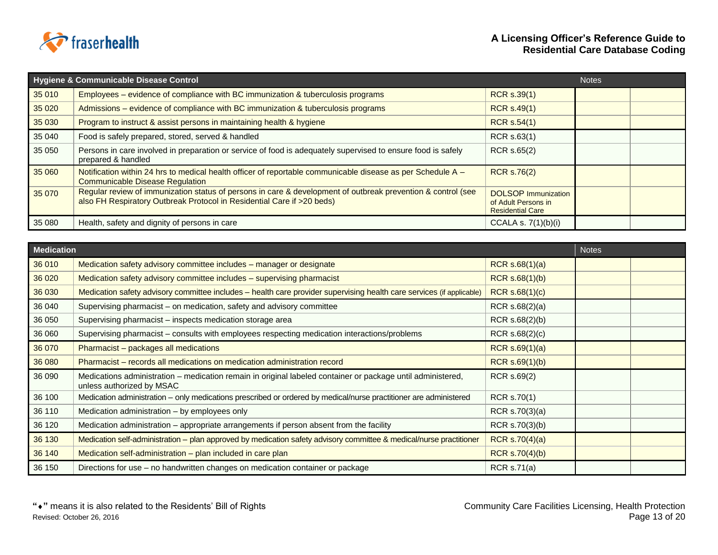

|         | Hygiene & Communicable Disease Control                                                                                                                                                 |                                                                              | <b>Notes</b> |  |
|---------|----------------------------------------------------------------------------------------------------------------------------------------------------------------------------------------|------------------------------------------------------------------------------|--------------|--|
| 35 010  | Employees – evidence of compliance with BC immunization & tuberculosis programs                                                                                                        | <b>RCR s.39(1)</b>                                                           |              |  |
| 35 0 20 | Admissions – evidence of compliance with BC immunization & tuberculosis programs                                                                                                       | <b>RCR s.49(1)</b>                                                           |              |  |
| 35 030  | Program to instruct & assist persons in maintaining health & hygiene                                                                                                                   | <b>RCR s.54(1)</b>                                                           |              |  |
| 35 040  | Food is safely prepared, stored, served & handled                                                                                                                                      | RCR s.63(1)                                                                  |              |  |
| 35 050  | Persons in care involved in preparation or service of food is adequately supervised to ensure food is safely<br>prepared & handled                                                     | RCR s.65(2)                                                                  |              |  |
| 35 060  | Notification within 24 hrs to medical health officer of reportable communicable disease as per Schedule A -<br><b>Communicable Disease Regulation</b>                                  | <b>RCR s.76(2)</b>                                                           |              |  |
| 35 070  | Regular review of immunization status of persons in care & development of outbreak prevention & control (see<br>also FH Respiratory Outbreak Protocol in Residential Care if >20 beds) | <b>DOLSOP</b> Immunization<br>of Adult Persons in<br><b>Residential Care</b> |              |  |
| 35 080  | Health, safety and dignity of persons in care                                                                                                                                          | CCALA s. $7(1)(b)(i)$                                                        |              |  |

| <b>Medication</b> |                                                                                                                                          |                    | <b>Notes</b> |  |
|-------------------|------------------------------------------------------------------------------------------------------------------------------------------|--------------------|--------------|--|
| 36 010            | Medication safety advisory committee includes - manager or designate                                                                     | RCR $s.68(1)(a)$   |              |  |
| 36 0 20           | Medication safety advisory committee includes - supervising pharmacist                                                                   | $RCR$ s.68(1)(b)   |              |  |
| 36 030            | Medication safety advisory committee includes - health care provider supervising health care services (if applicable)                    | RCR s.68(1)(c)     |              |  |
| 36 040            | Supervising pharmacist - on medication, safety and advisory committee                                                                    | RCR $s.68(2)(a)$   |              |  |
| 36 050            | Supervising pharmacist – inspects medication storage area                                                                                | RCR $s.68(2)(b)$   |              |  |
| 36 060            | Supervising pharmacist - consults with employees respecting medication interactions/problems                                             | RCR s.68(2)(c)     |              |  |
| 36 070            | Pharmacist - packages all medications                                                                                                    | RCR $s.69(1)(a)$   |              |  |
| 36 080            | Pharmacist – records all medications on medication administration record                                                                 | RCR s.69(1)(b)     |              |  |
| 36 090            | Medications administration - medication remain in original labeled container or package until administered,<br>unless authorized by MSAC | RCR s.69(2)        |              |  |
| 36 100            | Medication administration - only medications prescribed or ordered by medical/nurse practitioner are administered                        | RCR s.70(1)        |              |  |
| 36 110            | Medication administration - by employees only                                                                                            | RCR s.70(3)(a)     |              |  |
| 36 120            | Medication administration - appropriate arrangements if person absent from the facility                                                  | RCR s.70(3)(b)     |              |  |
| 36 130            | Medication self-administration - plan approved by medication safety advisory committee & medical/nurse practitioner                      | RCR $s.70(4)(a)$   |              |  |
| 36 140            | Medication self-administration - plan included in care plan                                                                              | RCR $s.70(4)(b)$   |              |  |
| 36 150            | Directions for use – no handwritten changes on medication container or package                                                           | <b>RCR s.71(a)</b> |              |  |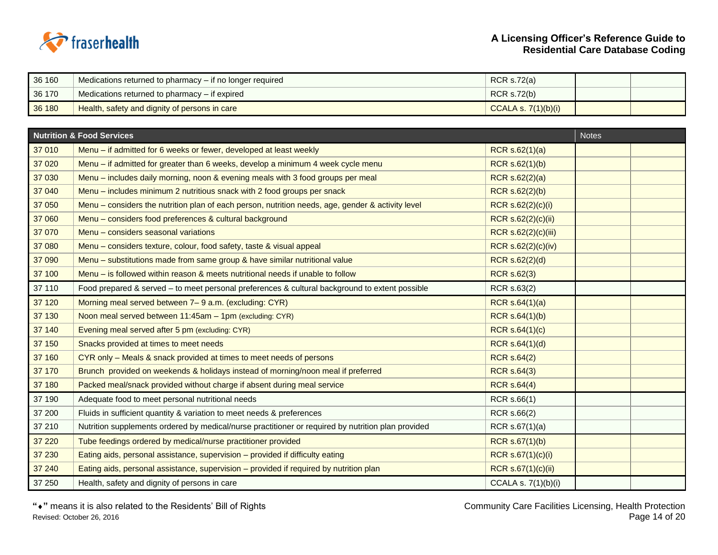

| 36 160 | Medications returned to pharmacy – if no longer required | RCR $s.72(a)$         |  |
|--------|----------------------------------------------------------|-----------------------|--|
| 36 170 | Medications returned to pharmacy – if expired            | RCR s.72(b)           |  |
| 36 180 | Health, safety and dignity of persons in care            | CCALA s. $7(1)(b)(i)$ |  |

|         | <b>Nutrition &amp; Food Services</b>                                                               |                       | <b>Notes</b> |  |
|---------|----------------------------------------------------------------------------------------------------|-----------------------|--------------|--|
| 37 010  | Menu – if admitted for 6 weeks or fewer, developed at least weekly                                 | RCR $s.62(1)(a)$      |              |  |
| 37 0 20 | Menu – if admitted for greater than 6 weeks, develop a minimum 4 week cycle menu                   | RCR s.62(1)(b)        |              |  |
| 37 030  | Menu - includes daily morning, noon & evening meals with 3 food groups per meal                    | RCR $s.62(2)(a)$      |              |  |
| 37 040  | Menu – includes minimum 2 nutritious snack with 2 food groups per snack                            | RCR s.62(2)(b)        |              |  |
| 37 050  | Menu – considers the nutrition plan of each person, nutrition needs, age, gender & activity level  | RCR s.62(2)(c)(i)     |              |  |
| 37 060  | Menu - considers food preferences & cultural background                                            | RCR s.62(2)(c)(ii)    |              |  |
| 37 070  | Menu - considers seasonal variations                                                               | RCR s.62(2)(c)(iii)   |              |  |
| 37 080  | Menu - considers texture, colour, food safety, taste & visual appeal                               | RCR s.62(2)(c)(iv)    |              |  |
| 37 090  | Menu – substitutions made from same group & have similar nutritional value                         | RCR s.62(2)(d)        |              |  |
| 37 100  | Menu – is followed within reason & meets nutritional needs if unable to follow                     | <b>RCR s.62(3)</b>    |              |  |
| 37 110  | Food prepared & served - to meet personal preferences & cultural background to extent possible     | RCR s.63(2)           |              |  |
| 37 120  | Morning meal served between 7–9 a.m. (excluding: CYR)                                              | RCR s.64(1)(a)        |              |  |
| 37 130  | Noon meal served between 11:45am - 1pm (excluding: CYR)                                            | RCR s.64(1)(b)        |              |  |
| 37 140  | Evening meal served after 5 pm (excluding: CYR)                                                    | RCR s.64(1)(c)        |              |  |
| 37 150  | Snacks provided at times to meet needs                                                             | RCR s.64(1)(d)        |              |  |
| 37 160  | CYR only - Meals & snack provided at times to meet needs of persons                                | <b>RCR s.64(2)</b>    |              |  |
| 37 170  | Brunch provided on weekends & holidays instead of morning/noon meal if preferred                   | <b>RCR s.64(3)</b>    |              |  |
| 37 180  | Packed meal/snack provided without charge if absent during meal service                            | <b>RCR s.64(4)</b>    |              |  |
| 37 190  | Adequate food to meet personal nutritional needs                                                   | RCR s.66(1)           |              |  |
| 37 200  | Fluids in sufficient quantity & variation to meet needs & preferences                              | RCR s.66(2)           |              |  |
| 37 210  | Nutrition supplements ordered by medical/nurse practitioner or required by nutrition plan provided | RCR s.67(1)(a)        |              |  |
| 37 220  | Tube feedings ordered by medical/nurse practitioner provided                                       | <b>RCR s.67(1)(b)</b> |              |  |
| 37 230  | Eating aids, personal assistance, supervision - provided if difficulty eating                      | RCR s.67(1)(c)(i)     |              |  |
| 37 240  | Eating aids, personal assistance, supervision - provided if required by nutrition plan             | RCR s.67(1)(c)(ii)    |              |  |
| 37 250  | Health, safety and dignity of persons in care                                                      | CCALA s. 7(1)(b)(i)   |              |  |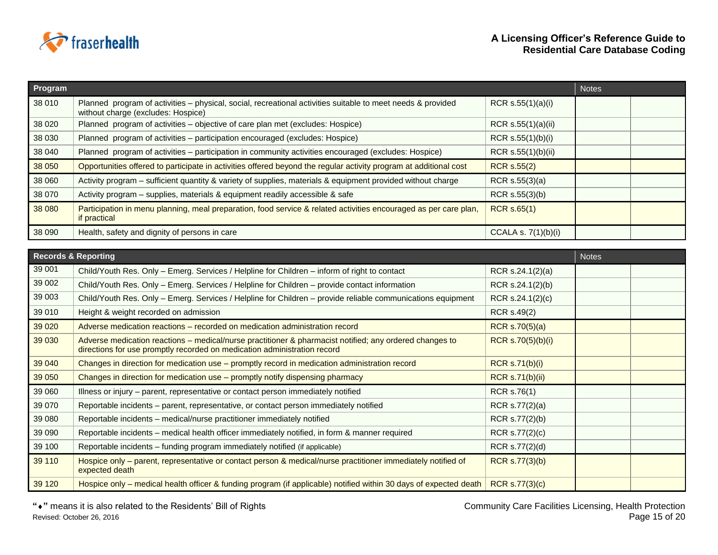

| <b>Program</b> |                                                                                                                                                   |                       | <b>Notes</b> |  |
|----------------|---------------------------------------------------------------------------------------------------------------------------------------------------|-----------------------|--------------|--|
| 38 010         | Planned program of activities - physical, social, recreational activities suitable to meet needs & provided<br>without charge (excludes: Hospice) | RCR $s.55(1)(a)(i)$   |              |  |
| 38 0 20        | Planned program of activities - objective of care plan met (excludes: Hospice)                                                                    | RCR s.55(1)(a)(ii)    |              |  |
| 38 030         | Planned program of activities - participation encouraged (excludes: Hospice)                                                                      | RCR $s.55(1)(b)(i)$   |              |  |
| 38 040         | Planned program of activities - participation in community activities encouraged (excludes: Hospice)                                              | RCR s.55(1)(b)(ii)    |              |  |
| 38 050         | Opportunities offered to participate in activities offered beyond the regular activity program at additional cost                                 | <b>RCR s.55(2)</b>    |              |  |
| 38 060         | Activity program – sufficient quantity & variety of supplies, materials & equipment provided without charge                                       | RCR $s.55(3)(a)$      |              |  |
| 38 070         | Activity program - supplies, materials & equipment readily accessible & safe                                                                      | RCR s.55(3)(b)        |              |  |
| 38 080         | Participation in menu planning, meal preparation, food service & related activities encouraged as per care plan,<br>if practical                  | RCR s.65(1)           |              |  |
| 38 090         | Health, safety and dignity of persons in care                                                                                                     | CCALA s. $7(1)(b)(i)$ |              |  |

|         | <b>Records &amp; Reporting</b>                                                                                                                                                      |                        | <b>Notes</b> |  |
|---------|-------------------------------------------------------------------------------------------------------------------------------------------------------------------------------------|------------------------|--------------|--|
| 39 001  | Child/Youth Res. Only - Emerg. Services / Helpline for Children - inform of right to contact                                                                                        | RCR s.24.1(2)(a)       |              |  |
| 39 002  | Child/Youth Res. Only - Emerg. Services / Helpline for Children - provide contact information                                                                                       | RCR $s.24.1(2)(b)$     |              |  |
| 39 003  | Child/Youth Res. Only – Emerg. Services / Helpline for Children – provide reliable communications equipment                                                                         | RCR s.24.1(2)(c)       |              |  |
| 39 010  | Height & weight recorded on admission                                                                                                                                               | RCR s.49(2)            |              |  |
| 39 0 20 | Adverse medication reactions – recorded on medication administration record                                                                                                         | RCR s.70(5)(a)         |              |  |
| 39 030  | Adverse medication reactions – medical/nurse practitioner & pharmacist notified; any ordered changes to<br>directions for use promptly recorded on medication administration record | RCR s.70(5)(b)(i)      |              |  |
| 39 040  | Changes in direction for medication use - promptly record in medication administration record                                                                                       | <b>RCR s.71(b)(i)</b>  |              |  |
| 39 050  | Changes in direction for medication use - promptly notify dispensing pharmacy                                                                                                       | <b>RCR s.71(b)(ii)</b> |              |  |
| 39 060  | Illness or injury – parent, representative or contact person immediately notified                                                                                                   | RCR s.76(1)            |              |  |
| 39 070  | Reportable incidents – parent, representative, or contact person immediately notified                                                                                               | RCR s.77(2)(a)         |              |  |
| 39 080  | Reportable incidents – medical/nurse practitioner immediately notified                                                                                                              | RCR s.77(2)(b)         |              |  |
| 39 090  | Reportable incidents - medical health officer immediately notified, in form & manner required                                                                                       | RCR s.77(2)(c)         |              |  |
| 39 100  | Reportable incidents - funding program immediately notified (if applicable)                                                                                                         | RCR s.77(2)(d)         |              |  |
| 39 110  | Hospice only – parent, representative or contact person & medical/nurse practitioner immediately notified of<br>expected death                                                      | RCR s.77(3)(b)         |              |  |
| 39 1 20 | Hospice only – medical health officer & funding program (if applicable) notified within 30 days of expected death                                                                   | <b>RCR s.77(3)(c)</b>  |              |  |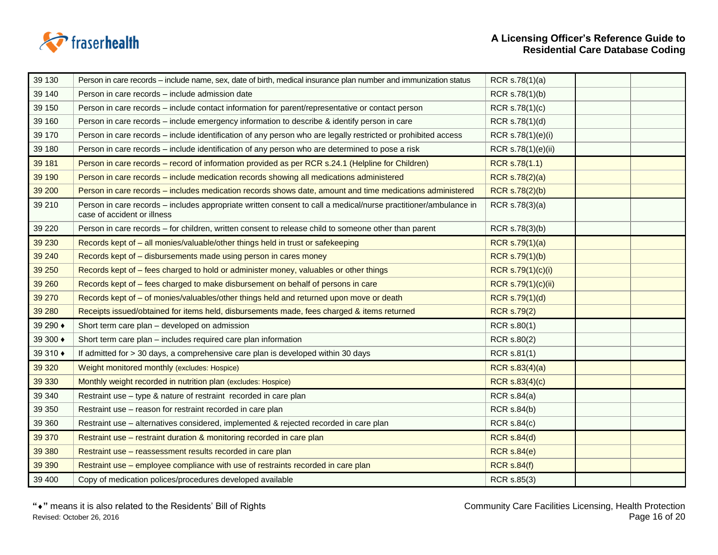

| 39 130   | Person in care records – include name, sex, date of birth, medical insurance plan number and immunization status                               | RCR s.78(1)(a)        |  |
|----------|------------------------------------------------------------------------------------------------------------------------------------------------|-----------------------|--|
| 39 140   | Person in care records - include admission date                                                                                                | RCR s.78(1)(b)        |  |
| 39 150   | Person in care records – include contact information for parent/representative or contact person                                               | RCR s.78(1)(c)        |  |
| 39 160   | Person in care records – include emergency information to describe & identify person in care                                                   | RCR s.78(1)(d)        |  |
| 39 170   | Person in care records - include identification of any person who are legally restricted or prohibited access                                  | RCR s.78(1)(e)(i)     |  |
| 39 180   | Person in care records – include identification of any person who are determined to pose a risk                                                | RCR s.78(1)(e)(ii)    |  |
| 39 181   | Person in care records - record of information provided as per RCR s.24.1 (Helpline for Children)                                              | RCR s.78(1.1)         |  |
| 39 190   | Person in care records - include medication records showing all medications administered                                                       | <b>RCR s.78(2)(a)</b> |  |
| 39 200   | Person in care records - includes medication records shows date, amount and time medications administered                                      | RCR s.78(2)(b)        |  |
| 39 210   | Person in care records – includes appropriate written consent to call a medical/nurse practitioner/ambulance in<br>case of accident or illness | RCR s.78(3)(a)        |  |
| 39 2 20  | Person in care records - for children, written consent to release child to someone other than parent                                           | RCR s.78(3)(b)        |  |
| 39 230   | Records kept of - all monies/valuable/other things held in trust or safekeeping                                                                | RCR s.79(1)(a)        |  |
| 39 240   | Records kept of - disbursements made using person in cares money                                                                               | RCR s.79(1)(b)        |  |
| 39 250   | Records kept of – fees charged to hold or administer money, valuables or other things                                                          | RCR s.79(1)(c)(i)     |  |
| 39 260   | Records kept of - fees charged to make disbursement on behalf of persons in care                                                               | RCR s.79(1)(c)(ii)    |  |
| 39 270   | Records kept of - of monies/valuables/other things held and returned upon move or death                                                        | RCR s.79(1)(d)        |  |
| 39 280   | Receipts issued/obtained for items held, disbursements made, fees charged & items returned                                                     | <b>RCR s.79(2)</b>    |  |
| 39 290 ♦ | Short term care plan - developed on admission                                                                                                  | RCR s.80(1)           |  |
| 39 300 ♦ | Short term care plan - includes required care plan information                                                                                 | RCR s.80(2)           |  |
| 39 310 ♦ | If admitted for > 30 days, a comprehensive care plan is developed within 30 days                                                               | RCR s.81(1)           |  |
| 39 320   | Weight monitored monthly (excludes: Hospice)                                                                                                   | RCR s.83(4)(a)        |  |
| 39 330   | Monthly weight recorded in nutrition plan (excludes: Hospice)                                                                                  | RCR s.83(4)(c)        |  |
| 39 340   | Restraint use - type & nature of restraint recorded in care plan                                                                               | <b>RCR s.84(a)</b>    |  |
| 39 350   | Restraint use - reason for restraint recorded in care plan                                                                                     | <b>RCR s.84(b)</b>    |  |
| 39 360   | Restraint use - alternatives considered, implemented & rejected recorded in care plan                                                          | <b>RCR s.84(c)</b>    |  |
| 39 370   | Restraint use - restraint duration & monitoring recorded in care plan                                                                          | <b>RCR s.84(d)</b>    |  |
| 39 380   | Restraint use - reassessment results recorded in care plan                                                                                     | <b>RCR s.84(e)</b>    |  |
| 39 390   | Restraint use - employee compliance with use of restraints recorded in care plan                                                               | <b>RCR s.84(f)</b>    |  |
| 39 400   | Copy of medication polices/procedures developed available                                                                                      | RCR s.85(3)           |  |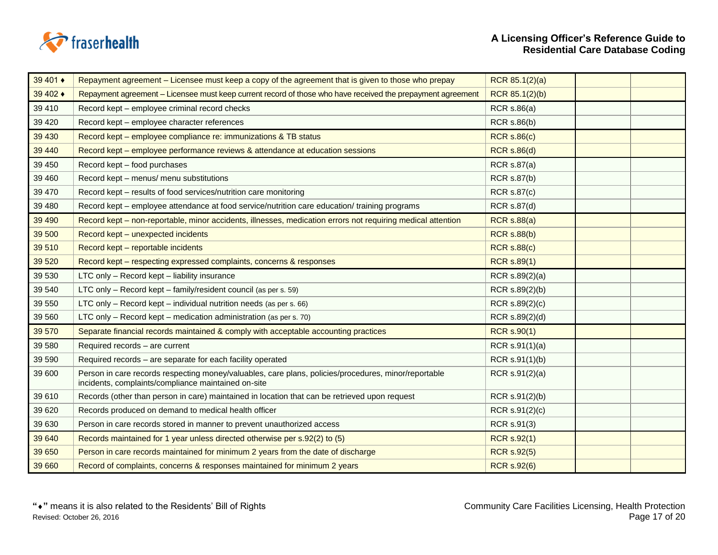

| 39 401 ♦ | Repayment agreement – Licensee must keep a copy of the agreement that is given to those who prepay                                                          | RCR 85.1(2)(a)     |  |
|----------|-------------------------------------------------------------------------------------------------------------------------------------------------------------|--------------------|--|
| 39 402 ♦ | Repayment agreement - Licensee must keep current record of those who have received the prepayment agreement                                                 | RCR 85.1(2)(b)     |  |
| 39 410   | Record kept - employee criminal record checks                                                                                                               | <b>RCR s.86(a)</b> |  |
| 39 4 20  | Record kept - employee character references                                                                                                                 | <b>RCR s.86(b)</b> |  |
| 39 430   | Record kept - employee compliance re: immunizations & TB status                                                                                             | <b>RCR s.86(c)</b> |  |
| 39 440   | Record kept – employee performance reviews & attendance at education sessions                                                                               | <b>RCR s.86(d)</b> |  |
| 39 450   | Record kept - food purchases                                                                                                                                | <b>RCR s.87(a)</b> |  |
| 39 460   | Record kept - menus/ menu substitutions                                                                                                                     | <b>RCR s.87(b)</b> |  |
| 39 470   | Record kept - results of food services/nutrition care monitoring                                                                                            | <b>RCR s.87(c)</b> |  |
| 39 480   | Record kept - employee attendance at food service/nutrition care education/ training programs                                                               | <b>RCR s.87(d)</b> |  |
| 39 490   | Record kept – non-reportable, minor accidents, illnesses, medication errors not requiring medical attention                                                 | <b>RCR s.88(a)</b> |  |
| 39 500   | Record kept - unexpected incidents                                                                                                                          | <b>RCR s.88(b)</b> |  |
| 39 510   | Record kept - reportable incidents                                                                                                                          | <b>RCR s.88(c)</b> |  |
| 39 5 20  | Record kept - respecting expressed complaints, concerns & responses                                                                                         | <b>RCR s.89(1)</b> |  |
| 39 530   | LTC only - Record kept - liability insurance                                                                                                                | RCR s.89(2)(a)     |  |
| 39 540   | LTC only - Record kept - family/resident council (as per s. 59)                                                                                             | RCR s.89(2)(b)     |  |
| 39 550   | LTC only - Record kept - individual nutrition needs (as per s. 66)                                                                                          | RCR s.89(2)(c)     |  |
| 39 560   | LTC only - Record kept - medication administration (as per s. 70)                                                                                           | RCR s.89(2)(d)     |  |
| 39 570   | Separate financial records maintained & comply with acceptable accounting practices                                                                         | <b>RCR s.90(1)</b> |  |
| 39 580   | Required records - are current                                                                                                                              | RCR s.91(1)(a)     |  |
| 39 590   | Required records - are separate for each facility operated                                                                                                  | RCR s.91(1)(b)     |  |
| 39 600   | Person in care records respecting money/valuables, care plans, policies/procedures, minor/reportable<br>incidents, complaints/compliance maintained on-site | RCR s.91(2)(a)     |  |
| 39 610   | Records (other than person in care) maintained in location that can be retrieved upon request                                                               | RCR s.91(2)(b)     |  |
| 39 6 20  | Records produced on demand to medical health officer                                                                                                        | RCR s.91(2)(c)     |  |
| 39 630   | Person in care records stored in manner to prevent unauthorized access                                                                                      | RCR s.91(3)        |  |
| 39 640   | Records maintained for 1 year unless directed otherwise per s.92(2) to (5)                                                                                  | <b>RCR s.92(1)</b> |  |
| 39 650   | Person in care records maintained for minimum 2 years from the date of discharge                                                                            | <b>RCR s.92(5)</b> |  |
| 39 660   | Record of complaints, concerns & responses maintained for minimum 2 years                                                                                   | <b>RCR s.92(6)</b> |  |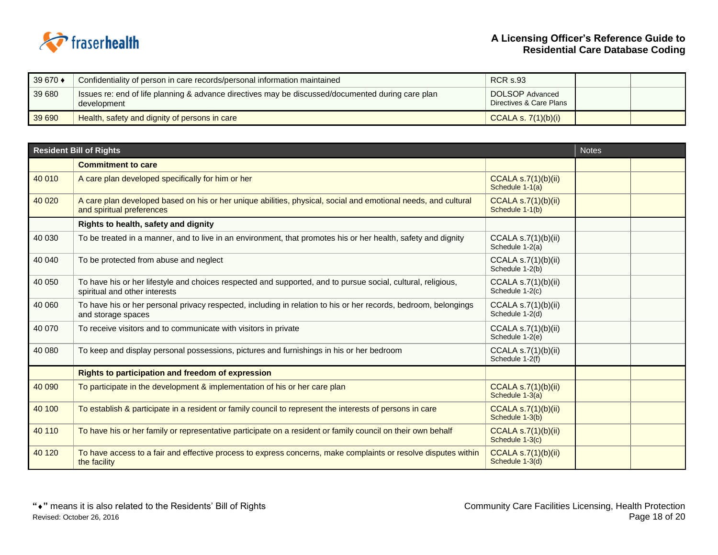

| 39 670 ♦ | Confidentiality of person in care records/personal information maintained                                        | <b>RCR s.93</b>                            |  |
|----------|------------------------------------------------------------------------------------------------------------------|--------------------------------------------|--|
| 39 680   | Issues re: end of life planning & advance directives may be discussed/documented during care plan<br>development | DOLSOP Advanced<br>Directives & Care Plans |  |
| 39 690   | Health, safety and dignity of persons in care                                                                    | CCALA s. $7(1)(b)(i)$                      |  |

| <b>Resident Bill of Rights</b><br><b>Notes</b> |                                                                                                                                               |                                               |  |  |
|------------------------------------------------|-----------------------------------------------------------------------------------------------------------------------------------------------|-----------------------------------------------|--|--|
|                                                | <b>Commitment to care</b>                                                                                                                     |                                               |  |  |
| 40 010                                         | A care plan developed specifically for him or her                                                                                             | CCALA $s.7(1)(b)(ii)$<br>Schedule 1-1(a)      |  |  |
| 40 0 20                                        | A care plan developed based on his or her unique abilities, physical, social and emotional needs, and cultural<br>and spiritual preferences   | CCALA $s.7(1)(b)(ii)$<br>Schedule 1-1(b)      |  |  |
|                                                | Rights to health, safety and dignity                                                                                                          |                                               |  |  |
| 40 030                                         | To be treated in a manner, and to live in an environment, that promotes his or her health, safety and dignity                                 | CCALA $s.7(1)(b)(ii)$<br>Schedule 1-2(a)      |  |  |
| 40 040                                         | To be protected from abuse and neglect                                                                                                        | CCALA s.7(1)(b)(ii)<br>Schedule 1-2(b)        |  |  |
| 40 050                                         | To have his or her lifestyle and choices respected and supported, and to pursue social, cultural, religious,<br>spiritual and other interests | CCALA s.7(1)(b)(ii)<br>Schedule 1-2(c)        |  |  |
| 40 060                                         | To have his or her personal privacy respected, including in relation to his or her records, bedroom, belongings<br>and storage spaces         | CCALA $s.7(1)(b)(ii)$<br>Schedule 1-2(d)      |  |  |
| 40 070                                         | To receive visitors and to communicate with visitors in private                                                                               | CCALA $s.7(1)(b)(ii)$<br>Schedule 1-2(e)      |  |  |
| 40 080                                         | To keep and display personal possessions, pictures and furnishings in his or her bedroom                                                      | CCALA $s.7(1)(b)(ii)$<br>Schedule 1-2(f)      |  |  |
|                                                | <b>Rights to participation and freedom of expression</b>                                                                                      |                                               |  |  |
| 40 090                                         | To participate in the development & implementation of his or her care plan                                                                    | CCALA $s.7(1)(b)(ii)$<br>Schedule 1-3(a)      |  |  |
| 40 100                                         | To establish & participate in a resident or family council to represent the interests of persons in care                                      | <b>CCALA s.7(1)(b)(ii)</b><br>Schedule 1-3(b) |  |  |
| 40 110                                         | To have his or her family or representative participate on a resident or family council on their own behalf                                   | <b>CCALA s.7(1)(b)(ii)</b><br>Schedule 1-3(c) |  |  |
| 40 120                                         | To have access to a fair and effective process to express concerns, make complaints or resolve disputes within<br>the facility                | <b>CCALA s.7(1)(b)(ii)</b><br>Schedule 1-3(d) |  |  |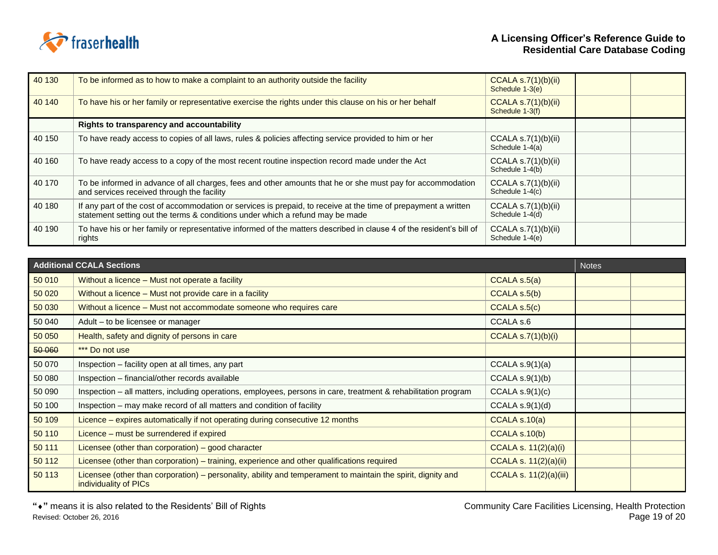

| 40 130 | To be informed as to how to make a complaint to an authority outside the facility                                                                                                                | CCALA $s.7(1)(b)(ii)$<br>Schedule 1-3(e) |  |
|--------|--------------------------------------------------------------------------------------------------------------------------------------------------------------------------------------------------|------------------------------------------|--|
| 40 140 | To have his or her family or representative exercise the rights under this clause on his or her behalf                                                                                           | CCALA $s.7(1)(b)(ii)$<br>Schedule 1-3(f) |  |
|        | Rights to transparency and accountability                                                                                                                                                        |                                          |  |
| 40 150 | To have ready access to copies of all laws, rules & policies affecting service provided to him or her                                                                                            | CCALA $s.7(1)(b)(ii)$<br>Schedule 1-4(a) |  |
| 40 160 | To have ready access to a copy of the most recent routine inspection record made under the Act                                                                                                   | CCALA $s.7(1)(b)(ii)$<br>Schedule 1-4(b) |  |
| 40 170 | To be informed in advance of all charges, fees and other amounts that he or she must pay for accommodation<br>and services received through the facility                                         | CCALA $s.7(1)(b)(ii)$<br>Schedule 1-4(c) |  |
| 40 180 | If any part of the cost of accommodation or services is prepaid, to receive at the time of prepayment a written<br>statement setting out the terms & conditions under which a refund may be made | CCALA $s.7(1)(b)(ii)$<br>Schedule 1-4(d) |  |
| 40 190 | To have his or her family or representative informed of the matters described in clause 4 of the resident's bill of<br>rights                                                                    | CCALA $s.7(1)(b)(ii)$<br>Schedule 1-4(e) |  |

| <b>Additional CCALA Sections</b> |                                                                                                                                       |                               | <b>Notes</b> |
|----------------------------------|---------------------------------------------------------------------------------------------------------------------------------------|-------------------------------|--------------|
| 50 010                           | Without a licence – Must not operate a facility                                                                                       | CCALA s.5(a)                  |              |
| 50 0 20                          | Without a licence – Must not provide care in a facility                                                                               | CCALA S.5(b)                  |              |
| 50 030                           | Without a licence – Must not accommodate someone who requires care                                                                    | CCALA s.5(c)                  |              |
| 50 040                           | Adult – to be licensee or manager                                                                                                     | CCALA s.6                     |              |
| 50 050                           | Health, safety and dignity of persons in care                                                                                         | CCALA S.7(1)(b)(i)            |              |
| 50 060                           | *** Do not use                                                                                                                        |                               |              |
| 50 070                           | Inspection - facility open at all times, any part                                                                                     | CCALA $s.9(1)(a)$             |              |
| 50 080                           | Inspection - financial/other records available                                                                                        | CCALA $s.9(1)(b)$             |              |
| 50 090                           | Inspection - all matters, including operations, employees, persons in care, treatment & rehabilitation program                        | CCALA S.9(1)(c)               |              |
| 50 100                           | Inspection - may make record of all matters and condition of facility                                                                 | CCALA $s.9(1)(d)$             |              |
| 50 109                           | Licence – expires automatically if not operating during consecutive 12 months                                                         | CCALA S.10(a)                 |              |
| 50 110                           | Licence – must be surrendered if expired                                                                                              | CCALA s.10(b)                 |              |
| 50 111                           | Licensee (other than corporation) – good character                                                                                    | CCALA s. $11(2)(a)(i)$        |              |
| 50 112                           | Licensee (other than corporation) - training, experience and other qualifications required                                            | CCALA s. 11(2)(a)(ii)         |              |
| 50 113                           | Licensee (other than corporation) – personality, ability and temperament to maintain the spirit, dignity and<br>individuality of PICs | <b>CCALA s. 11(2)(a)(iii)</b> |              |